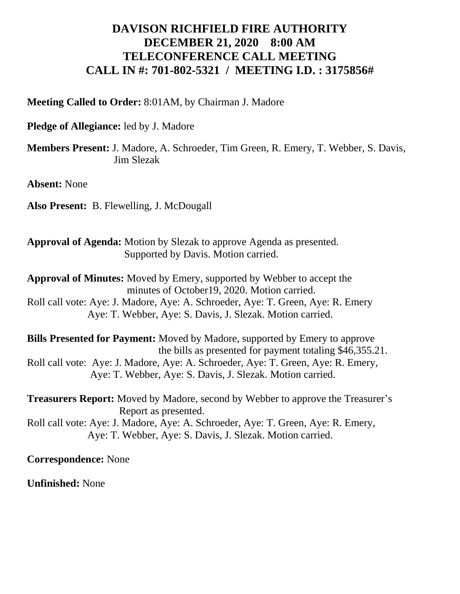## **DAVISON RICHFIELD FIRE AUTHORITY DECEMBER 21, 2020 8:00 AM TELECONFERENCE CALL MEETING CALL IN #: 701-802-5321 / MEETING I.D. : 3175856#**

**Meeting Called to Order:** 8:01AM, by Chairman J. Madore

**Pledge of Allegiance:** led by J. Madore

**Members Present:** J. Madore, A. Schroeder, Tim Green, R. Emery, T. Webber, S. Davis, Jim Slezak

**Absent:** None

**Also Present:** B. Flewelling, J. McDougall

**Approval of Agenda:** Motion by Slezak to approve Agenda as presented. Supported by Davis. Motion carried.

**Approval of Minutes:** Moved by Emery, supported by Webber to accept the minutes of October19, 2020. Motion carried. Roll call vote: Aye: J. Madore, Aye: A. Schroeder, Aye: T. Green, Aye: R. Emery

Aye: T. Webber, Aye: S. Davis, J. Slezak. Motion carried.

**Bills Presented for Payment:** Moved by Madore, supported by Emery to approve the bills as presented for payment totaling \$46,355.21. Roll call vote: Aye: J. Madore, Aye: A. Schroeder, Aye: T. Green, Aye: R. Emery, Aye: T. Webber, Aye: S. Davis, J. Slezak. Motion carried.

**Treasurers Report:** Moved by Madore, second by Webber to approve the Treasurer's Report as presented.

Roll call vote: Aye: J. Madore, Aye: A. Schroeder, Aye: T. Green, Aye: R. Emery, Aye: T. Webber, Aye: S. Davis, J. Slezak. Motion carried.

**Correspondence:** None

**Unfinished:** None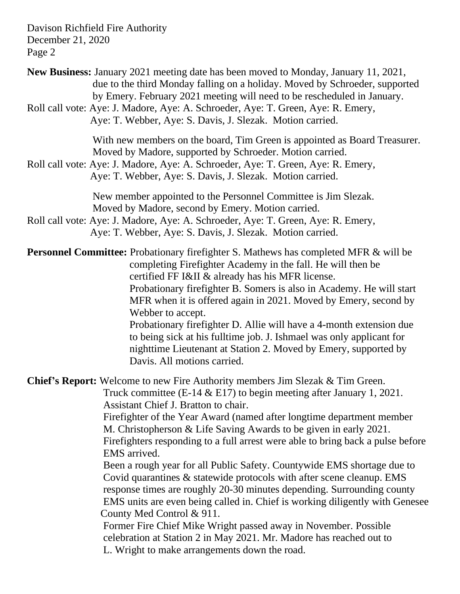Davison Richfield Fire Authority December 21, 2020 Page 2

| <b>New Business:</b> January 2021 meeting date has been moved to Monday, January 11, 2021,<br>due to the third Monday falling on a holiday. Moved by Schroeder, supported<br>by Emery. February 2021 meeting will need to be rescheduled in January.<br>Roll call vote: Aye: J. Madore, Aye: A. Schroeder, Aye: T. Green, Aye: R. Emery,<br>Aye: T. Webber, Aye: S. Davis, J. Slezak. Motion carried.                                                                                                                                                                                                                                                                                                                                                                                                                                                                                                                                                                                          |
|------------------------------------------------------------------------------------------------------------------------------------------------------------------------------------------------------------------------------------------------------------------------------------------------------------------------------------------------------------------------------------------------------------------------------------------------------------------------------------------------------------------------------------------------------------------------------------------------------------------------------------------------------------------------------------------------------------------------------------------------------------------------------------------------------------------------------------------------------------------------------------------------------------------------------------------------------------------------------------------------|
| With new members on the board, Tim Green is appointed as Board Treasurer.<br>Moved by Madore, supported by Schroeder. Motion carried.<br>Roll call vote: Aye: J. Madore, Aye: A. Schroeder, Aye: T. Green, Aye: R. Emery,<br>Aye: T. Webber, Aye: S. Davis, J. Slezak. Motion carried.                                                                                                                                                                                                                                                                                                                                                                                                                                                                                                                                                                                                                                                                                                         |
| New member appointed to the Personnel Committee is Jim Slezak.<br>Moved by Madore, second by Emery. Motion carried.<br>Roll call vote: Aye: J. Madore, Aye: A. Schroeder, Aye: T. Green, Aye: R. Emery,<br>Aye: T. Webber, Aye: S. Davis, J. Slezak. Motion carried.                                                                                                                                                                                                                                                                                                                                                                                                                                                                                                                                                                                                                                                                                                                           |
| <b>Personnel Committee:</b> Probationary firefighter S. Mathews has completed MFR & will be<br>completing Firefighter Academy in the fall. He will then be<br>certified FF I&II & already has his MFR license.<br>Probationary firefighter B. Somers is also in Academy. He will start<br>MFR when it is offered again in 2021. Moved by Emery, second by<br>Webber to accept.<br>Probationary firefighter D. Allie will have a 4-month extension due<br>to being sick at his fulltime job. J. Ishmael was only applicant for<br>nighttime Lieutenant at Station 2. Moved by Emery, supported by<br>Davis. All motions carried.                                                                                                                                                                                                                                                                                                                                                                |
| <b>Chief's Report:</b> Welcome to new Fire Authority members Jim Slezak & Tim Green.<br>Truck committee (E-14 $&$ E17) to begin meeting after January 1, 2021.<br>Assistant Chief J. Bratton to chair.<br>Firefighter of the Year Award (named after longtime department member<br>M. Christopherson & Life Saving Awards to be given in early 2021.<br>Fire fighters responding to a full arrest were able to bring back a pulse before<br>EMS arrived.<br>Been a rough year for all Public Safety. Countywide EMS shortage due to<br>Covid quarantines & statewide protocols with after scene cleanup. EMS<br>response times are roughly 20-30 minutes depending. Surrounding county<br>EMS units are even being called in. Chief is working diligently with Genesee<br>County Med Control & 911.<br>Former Fire Chief Mike Wright passed away in November. Possible<br>celebration at Station 2 in May 2021. Mr. Madore has reached out to<br>L. Wright to make arrangements down the road. |